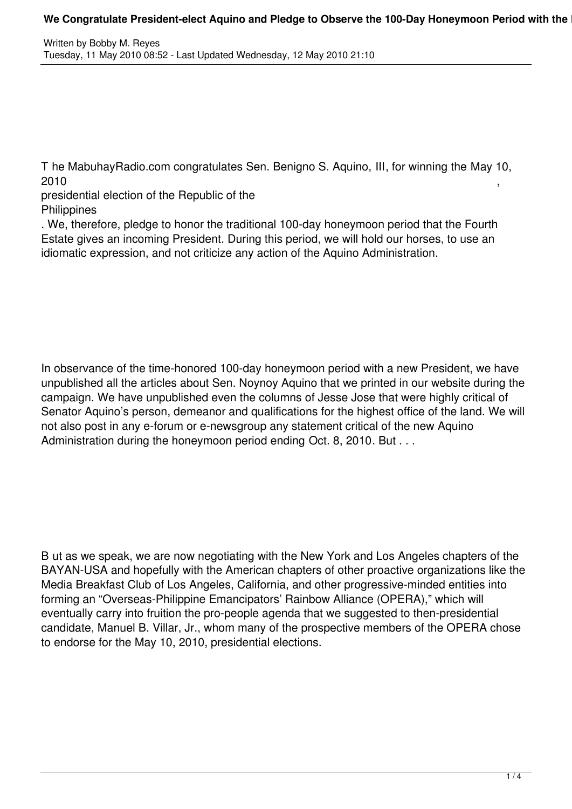T he MabuhayRadio.com congratulates Sen. Benigno S. Aquino, III, for winning the May 10,  $2010$ , and the contract of  $\sim$  ,  $\sim$  ,  $\sim$  ,  $\sim$  ,  $\sim$  ,  $\sim$  ,  $\sim$  ,  $\sim$  ,  $\sim$  ,  $\sim$  ,  $\sim$  ,  $\sim$  ,  $\sim$  ,  $\sim$  ,  $\sim$  ,  $\sim$  ,  $\sim$  ,  $\sim$  ,  $\sim$  ,  $\sim$  ,  $\sim$  ,  $\sim$  ,  $\sim$  ,  $\sim$  ,  $\sim$  ,  $\sim$  ,  $\sim$  ,  $\sim$ 

presidential election of the Republic of the **Philippines** 

. We, therefore, pledge to honor the traditional 100-day honeymoon period that the Fourth Estate gives an incoming President. During this period, we will hold our horses, to use an idiomatic expression, and not criticize any action of the Aquino Administration.

In observance of the time-honored 100-day honeymoon period with a new President, we have unpublished all the articles about Sen. Noynoy Aquino that we printed in our website during the campaign. We have unpublished even the columns of Jesse Jose that were highly critical of Senator Aquino's person, demeanor and qualifications for the highest office of the land. We will not also post in any e-forum or e-newsgroup any statement critical of the new Aquino Administration during the honeymoon period ending Oct. 8, 2010. But . . .

B ut as we speak, we are now negotiating with the New York and Los Angeles chapters of the BAYAN-USA and hopefully with the American chapters of other proactive organizations like the Media Breakfast Club of Los Angeles, California, and other progressive-minded entities into forming an "Overseas-Philippine Emancipators' Rainbow Alliance (OPERA)," which will eventually carry into fruition the pro-people agenda that we suggested to then-presidential candidate, Manuel B. Villar, Jr., whom many of the prospective members of the OPERA chose to endorse for the May 10, 2010, presidential elections.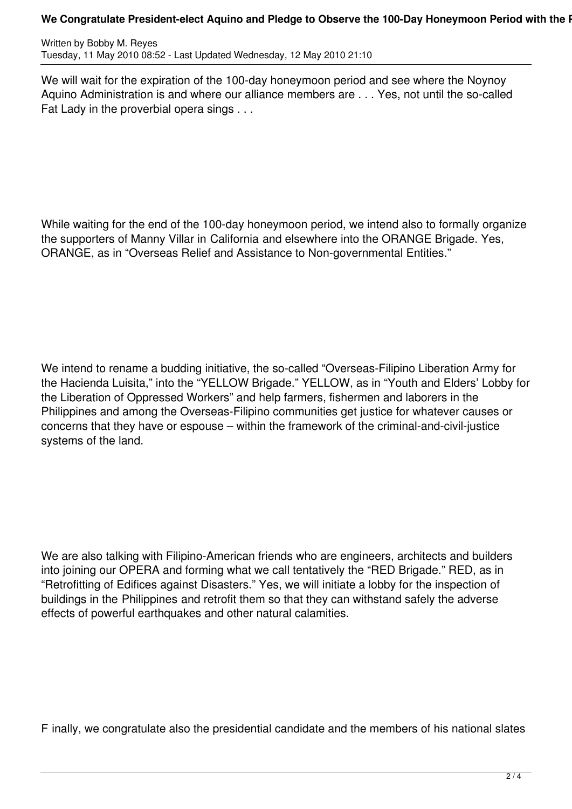## We Congratulate President-elect Aquino and Pledge to Observe the 100-Day Honeymoon Period with the I

Written by Bobby M. Reyes Tuesday, 11 May 2010 08:52 - Last Updated Wednesday, 12 May 2010 21:10

We will wait for the expiration of the 100-day honeymoon period and see where the Noynoy Aquino Administration is and where our alliance members are . . . Yes, not until the so-called Fat Lady in the proverbial opera sings . . .

While waiting for the end of the 100-day honeymoon period, we intend also to formally organize the supporters of Manny Villar in California and elsewhere into the ORANGE Brigade. Yes, ORANGE, as in "Overseas Relief and Assistance to Non-governmental Entities."

We intend to rename a budding initiative, the so-called "Overseas-Filipino Liberation Army for the Hacienda Luisita," into the "YELLOW Brigade." YELLOW, as in "Youth and Elders' Lobby for the Liberation of Oppressed Workers" and help farmers, fishermen and laborers in the Philippines and among the Overseas-Filipino communities get justice for whatever causes or concerns that they have or espouse – within the framework of the criminal-and-civil-justice systems of the land.

We are also talking with Filipino-American friends who are engineers, architects and builders into joining our OPERA and forming what we call tentatively the "RED Brigade." RED, as in "Retrofitting of Edifices against Disasters." Yes, we will initiate a lobby for the inspection of buildings in the Philippines and retrofit them so that they can withstand safely the adverse effects of powerful earthquakes and other natural calamities.

F inally, we congratulate also the presidential candidate and the members of his national slates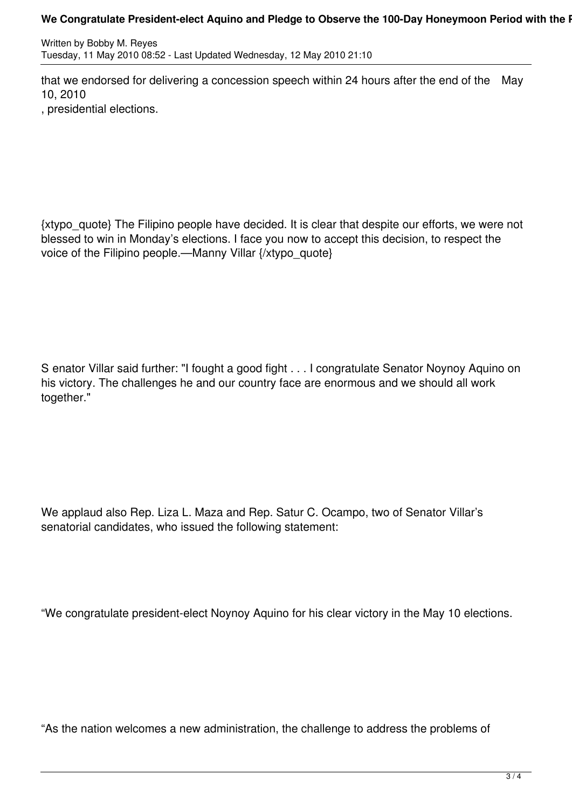## We Congratulate President-elect Aquino and Pledge to Observe the 100-Day Honeymoon Period with the I

Written by Bobby M. Reyes Tuesday, 11 May 2010 08:52 - Last Updated Wednesday, 12 May 2010 21:10

that we endorsed for delivering a concession speech within 24 hours after the end of the May 10, 2010

, presidential elections.

{xtypo\_quote} The Filipino people have decided. It is clear that despite our efforts, we were not blessed to win in Monday's elections. I face you now to accept this decision, to respect the voice of the Filipino people.—Manny Villar {/xtypo\_quote}

S enator Villar said further: "I fought a good fight . . . I congratulate Senator Noynoy Aquino on his victory. The challenges he and our country face are enormous and we should all work together."

We applaud also Rep. Liza L. Maza and Rep. Satur C. Ocampo, two of Senator Villar's senatorial candidates, who issued the following statement:

"We congratulate president-elect Noynoy Aquino for his clear victory in the May 10 elections.

"As the nation welcomes a new administration, the challenge to address the problems of